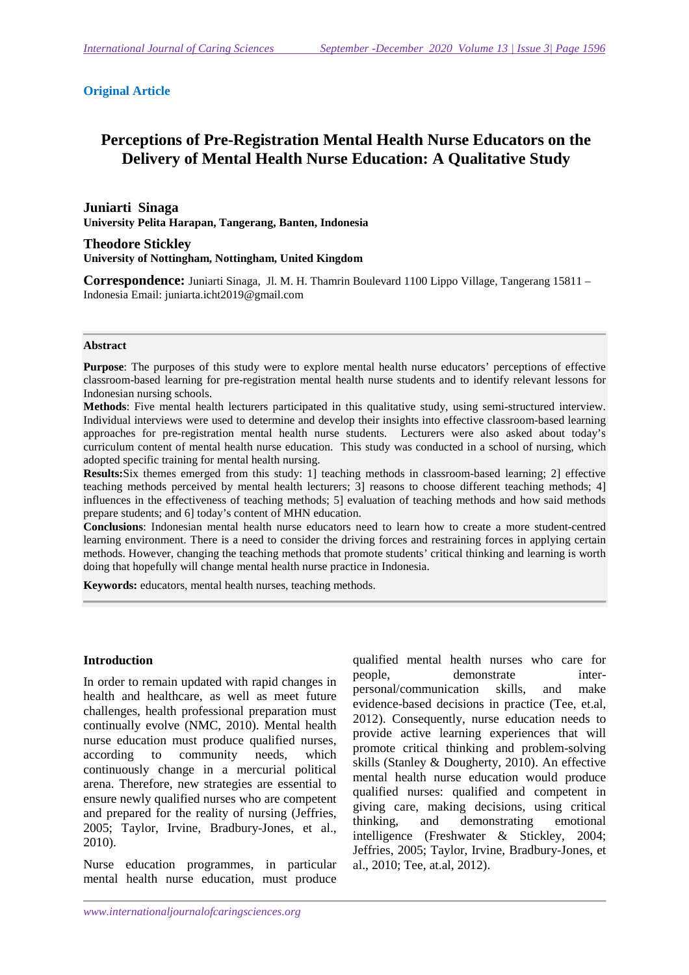#### **Original Article**

# **Perceptions of Pre-Registration Mental Health Nurse Educators on the Delivery of Mental Health Nurse Education: A Qualitative Study**

**Juniarti Sinaga University Pelita Harapan, Tangerang, Banten, Indonesia** 

**Theodore Stickley University of Nottingham, Nottingham, United Kingdom** 

**Correspondence:** Juniarti Sinaga, Jl. M. H. Thamrin Boulevard 1100 Lippo Village, Tangerang 15811 – Indonesia Email: juniarta.icht2019@gmail.com

#### **Abstract**

**Purpose**: The purposes of this study were to explore mental health nurse educators' perceptions of effective classroom-based learning for pre-registration mental health nurse students and to identify relevant lessons for Indonesian nursing schools.

**Methods**: Five mental health lecturers participated in this qualitative study, using semi-structured interview. Individual interviews were used to determine and develop their insights into effective classroom-based learning approaches for pre-registration mental health nurse students. Lecturers were also asked about today's curriculum content of mental health nurse education. This study was conducted in a school of nursing, which adopted specific training for mental health nursing.

**Results:**Six themes emerged from this study: 1] teaching methods in classroom-based learning; 2] effective teaching methods perceived by mental health lecturers; 3] reasons to choose different teaching methods; 4] influences in the effectiveness of teaching methods; 5] evaluation of teaching methods and how said methods prepare students; and 6] today's content of MHN education.

**Conclusions**: Indonesian mental health nurse educators need to learn how to create a more student-centred learning environment. There is a need to consider the driving forces and restraining forces in applying certain methods. However, changing the teaching methods that promote students' critical thinking and learning is worth doing that hopefully will change mental health nurse practice in Indonesia.

**Keywords:** educators, mental health nurses, teaching methods.

#### **Introduction**

In order to remain updated with rapid changes in health and healthcare, as well as meet future challenges, health professional preparation must continually evolve (NMC, 2010). Mental health nurse education must produce qualified nurses, according to community needs, which continuously change in a mercurial political arena. Therefore, new strategies are essential to ensure newly qualified nurses who are competent and prepared for the reality of nursing (Jeffries, 2005; Taylor, Irvine, Bradbury-Jones, et al., 2010).

Nurse education programmes, in particular mental health nurse education, must produce

qualified mental health nurses who care for people, demonstrate interpersonal/communication skills, and make evidence-based decisions in practice (Tee, et.al, 2012). Consequently, nurse education needs to provide active learning experiences that will promote critical thinking and problem-solving skills (Stanley & Dougherty, 2010). An effective mental health nurse education would produce qualified nurses: qualified and competent in giving care, making decisions, using critical thinking, and demonstrating emotional intelligence (Freshwater & Stickley, 2004; Jeffries, 2005; Taylor, Irvine, Bradbury-Jones, et al., 2010; Tee, at.al, 2012).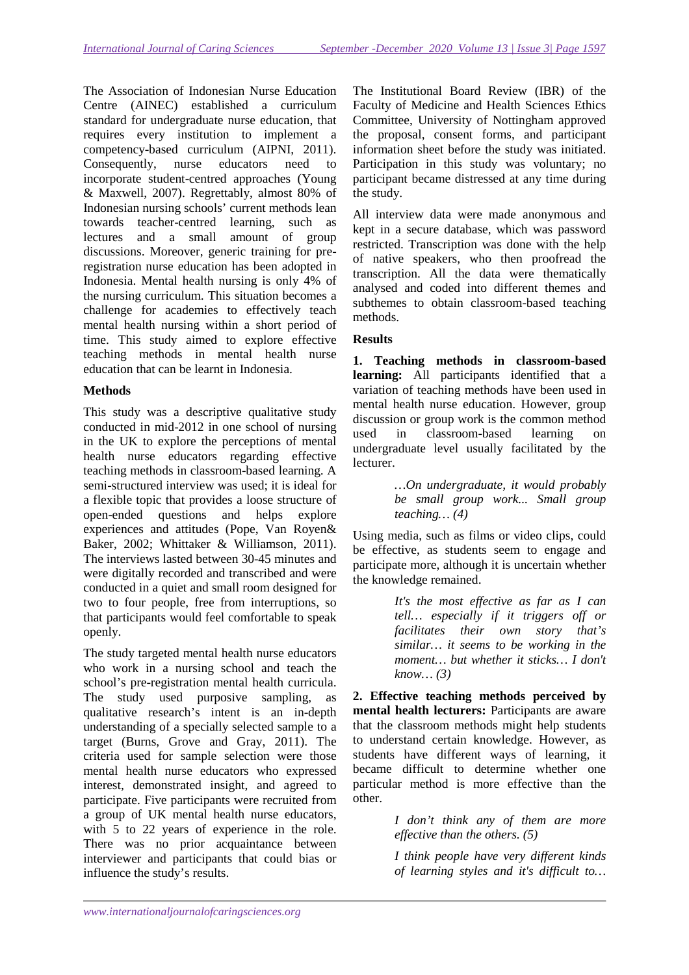The Association of Indonesian Nurse Education Centre (AINEC) established a curriculum standard for undergraduate nurse education, that requires every institution to implement a competency-based curriculum (AIPNI, 2011). Consequently, nurse educators need to incorporate student-centred approaches (Young & Maxwell, 2007). Regrettably, almost 80% of Indonesian nursing schools' current methods lean towards teacher-centred learning, such as lectures and a small amount of group discussions. Moreover, generic training for preregistration nurse education has been adopted in Indonesia. Mental health nursing is only 4% of the nursing curriculum. This situation becomes a challenge for academies to effectively teach mental health nursing within a short period of time. This study aimed to explore effective teaching methods in mental health nurse education that can be learnt in Indonesia.

### **Methods**

This study was a descriptive qualitative study conducted in mid-2012 in one school of nursing in the UK to explore the perceptions of mental health nurse educators regarding effective teaching methods in classroom-based learning. A semi-structured interview was used; it is ideal for a flexible topic that provides a loose structure of open-ended questions and helps explore experiences and attitudes (Pope, Van Royen& Baker, 2002; Whittaker & Williamson, 2011). The interviews lasted between 30-45 minutes and were digitally recorded and transcribed and were conducted in a quiet and small room designed for two to four people, free from interruptions, so that participants would feel comfortable to speak openly.

The study targeted mental health nurse educators who work in a nursing school and teach the school's pre-registration mental health curricula. The study used purposive sampling, as qualitative research's intent is an in-depth understanding of a specially selected sample to a target (Burns, Grove and Gray, 2011). The criteria used for sample selection were those mental health nurse educators who expressed interest, demonstrated insight, and agreed to participate. Five participants were recruited from a group of UK mental health nurse educators, with 5 to 22 years of experience in the role. There was no prior acquaintance between interviewer and participants that could bias or influence the study's results.

The Institutional Board Review (IBR) of the Faculty of Medicine and Health Sciences Ethics Committee, University of Nottingham approved the proposal, consent forms, and participant information sheet before the study was initiated. Participation in this study was voluntary; no participant became distressed at any time during the study.

All interview data were made anonymous and kept in a secure database, which was password restricted. Transcription was done with the help of native speakers, who then proofread the transcription. All the data were thematically analysed and coded into different themes and subthemes to obtain classroom-based teaching methods.

### **Results**

**1. Teaching methods in classroom-based learning:** All participants identified that a variation of teaching methods have been used in mental health nurse education. However, group discussion or group work is the common method used in classroom-based learning on undergraduate level usually facilitated by the lecturer.

> *…On undergraduate, it would probably be small group work... Small group teaching… (4)*

Using media, such as films or video clips, could be effective, as students seem to engage and participate more, although it is uncertain whether the knowledge remained.

> *It's the most effective as far as I can tell… especially if it triggers off or facilitates their own story that's similar… it seems to be working in the moment… but whether it sticks… I don't know… (3)*

**2. Effective teaching methods perceived by mental health lecturers:** Participants are aware that the classroom methods might help students to understand certain knowledge. However, as students have different ways of learning, it became difficult to determine whether one particular method is more effective than the other.

> *I don't think any of them are more effective than the others. (5)*

> *I think people have very different kinds of learning styles and it's difficult to…*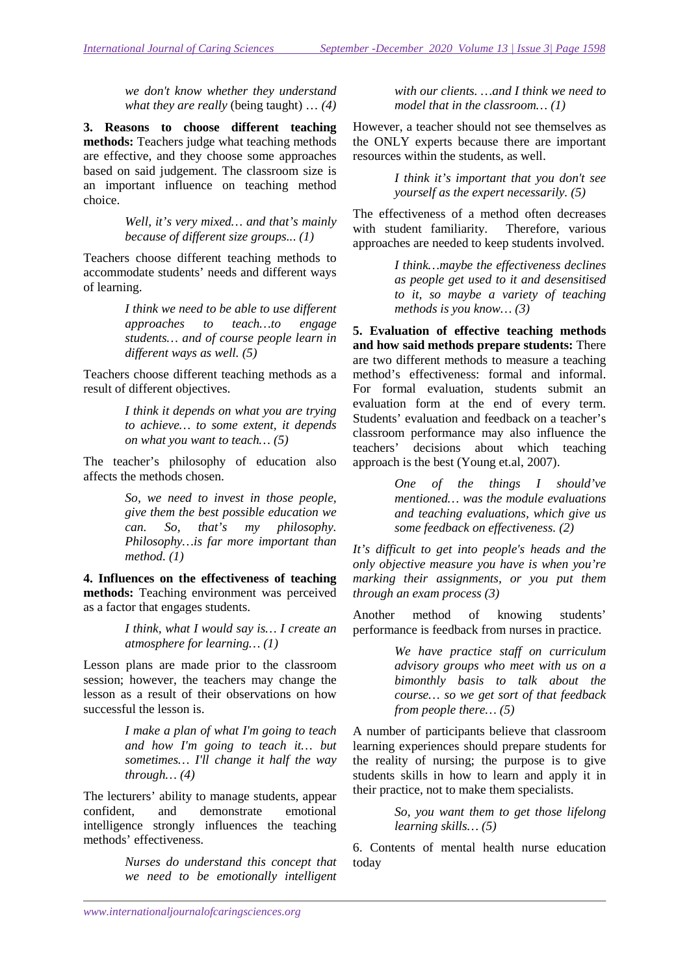*we don't know whether they understand what they are really* (being taught) … *(4)*

**3. Reasons to choose different teaching methods:** Teachers judge what teaching methods are effective, and they choose some approaches based on said judgement. The classroom size is an important influence on teaching method choice.

> *Well, it's very mixed… and that's mainly because of different size groups..*. *(1)*

Teachers choose different teaching methods to accommodate students' needs and different ways of learning.

> *I think we need to be able to use different approaches to teach…to engage students… and of course people learn in different ways as well. (5)*

Teachers choose different teaching methods as a result of different objectives.

> *I think it depends on what you are trying to achieve… to some extent, it depends on what you want to teach… (5)*

The teacher's philosophy of education also affects the methods chosen.

> *So, we need to invest in those people, give them the best possible education we can. So, that's my philosophy. Philosophy…is far more important than method. (1)*

**4. Influences on the effectiveness of teaching methods:** Teaching environment was perceived as a factor that engages students.

> *I think, what I would say is… I create an atmosphere for learning… (1)*

Lesson plans are made prior to the classroom session; however, the teachers may change the lesson as a result of their observations on how successful the lesson is.

> *I make a plan of what I'm going to teach and how I'm going to teach it… but sometimes… I'll change it half the way through… (4)*

The lecturers' ability to manage students, appear confident, and demonstrate emotional intelligence strongly influences the teaching methods' effectiveness.

> *Nurses do understand this concept that we need to be emotionally intelligent*

*with our clients. …and I think we need to model that in the classroom… (1)* 

However, a teacher should not see themselves as the ONLY experts because there are important resources within the students, as well.

> *I think it's important that you don't see yourself as the expert necessarily. (5)*

The effectiveness of a method often decreases with student familiarity. Therefore, various approaches are needed to keep students involved.

> *I think…maybe the effectiveness declines as people get used to it and desensitised to it, so maybe a variety of teaching methods is you know… (3)*

**5. Evaluation of effective teaching methods and how said methods prepare students:** There are two different methods to measure a teaching method's effectiveness: formal and informal. For formal evaluation, students submit an evaluation form at the end of every term. Students' evaluation and feedback on a teacher's classroom performance may also influence the teachers' decisions about which teaching approach is the best (Young et.al, 2007).

> *One of the things I should've mentioned… was the module evaluations and teaching evaluations, which give us some feedback on effectiveness. (2)*

*It's difficult to get into people's heads and the only objective measure you have is when you're marking their assignments, or you put them through an exam process (3)* 

Another method of knowing students' performance is feedback from nurses in practice.

> *We have practice staff on curriculum advisory groups who meet with us on a bimonthly basis to talk about the course… so we get sort of that feedback from people there… (5)*

A number of participants believe that classroom learning experiences should prepare students for the reality of nursing; the purpose is to give students skills in how to learn and apply it in their practice, not to make them specialists.

> *So, you want them to get those lifelong learning skills… (5)*

6. Contents of mental health nurse education today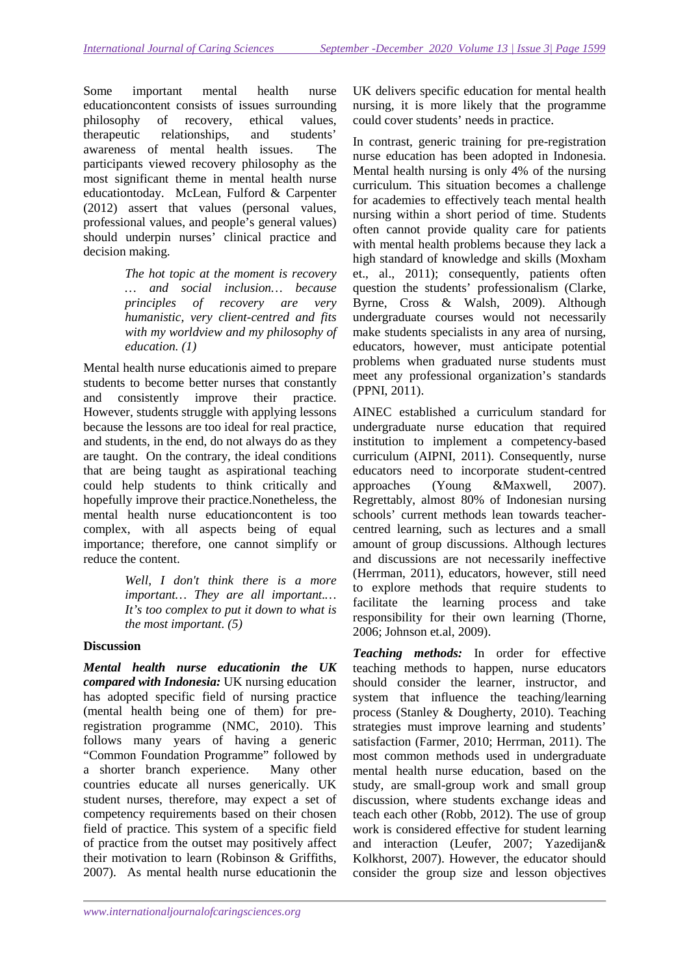Some important mental health nurse educationcontent consists of issues surrounding philosophy of recovery, ethical values, therapeutic relationships, and students' awareness of mental health issues. The participants viewed recovery philosophy as the most significant theme in mental health nurse educationtoday. McLean, Fulford & Carpenter (2012) assert that values (personal values, professional values, and people's general values) should underpin nurses' clinical practice and decision making.

> *The hot topic at the moment is recovery … and social inclusion… because principles of recovery are very humanistic, very client-centred and fits with my worldview and my philosophy of education. (1)*

Mental health nurse educationis aimed to prepare students to become better nurses that constantly and consistently improve their practice. However, students struggle with applying lessons because the lessons are too ideal for real practice, and students, in the end, do not always do as they are taught. On the contrary, the ideal conditions that are being taught as aspirational teaching could help students to think critically and hopefully improve their practice.Nonetheless, the mental health nurse educationcontent is too complex, with all aspects being of equal importance; therefore, one cannot simplify or reduce the content.

> *Well, I don't think there is a more important… They are all important.… It's too complex to put it down to what is the most important. (5)*

## **Discussion**

*Mental health nurse educationin the UK compared with Indonesia:* UK nursing education has adopted specific field of nursing practice (mental health being one of them) for preregistration programme (NMC, 2010). This follows many years of having a generic "Common Foundation Programme" followed by a shorter branch experience. Many other countries educate all nurses generically. UK student nurses, therefore, may expect a set of competency requirements based on their chosen field of practice. This system of a specific field of practice from the outset may positively affect their motivation to learn (Robinson & Griffiths, 2007). As mental health nurse educationin the UK delivers specific education for mental health nursing, it is more likely that the programme could cover students' needs in practice.

In contrast, generic training for pre-registration nurse education has been adopted in Indonesia. Mental health nursing is only 4% of the nursing curriculum. This situation becomes a challenge for academies to effectively teach mental health nursing within a short period of time. Students often cannot provide quality care for patients with mental health problems because they lack a high standard of knowledge and skills (Moxham et., al., 2011); consequently, patients often question the students' professionalism (Clarke, Byrne, Cross & Walsh, 2009). Although undergraduate courses would not necessarily make students specialists in any area of nursing, educators, however, must anticipate potential problems when graduated nurse students must meet any professional organization's standards (PPNI, 2011).

AINEC established a curriculum standard for undergraduate nurse education that required institution to implement a competency-based curriculum (AIPNI, 2011). Consequently, nurse educators need to incorporate student-centred approaches (Young &Maxwell, 2007). Regrettably, almost 80% of Indonesian nursing schools' current methods lean towards teachercentred learning, such as lectures and a small amount of group discussions. Although lectures and discussions are not necessarily ineffective (Herrman, 2011), educators, however, still need to explore methods that require students to facilitate the learning process and take responsibility for their own learning (Thorne, 2006; Johnson et.al, 2009).

*Teaching methods:* In order for effective teaching methods to happen, nurse educators should consider the learner, instructor, and system that influence the teaching/learning process (Stanley & Dougherty, 2010). Teaching strategies must improve learning and students' satisfaction (Farmer, 2010; Herrman, 2011). The most common methods used in undergraduate mental health nurse education, based on the study, are small-group work and small group discussion, where students exchange ideas and teach each other (Robb, 2012). The use of group work is considered effective for student learning and interaction (Leufer, 2007; Yazedijan& Kolkhorst, 2007). However, the educator should consider the group size and lesson objectives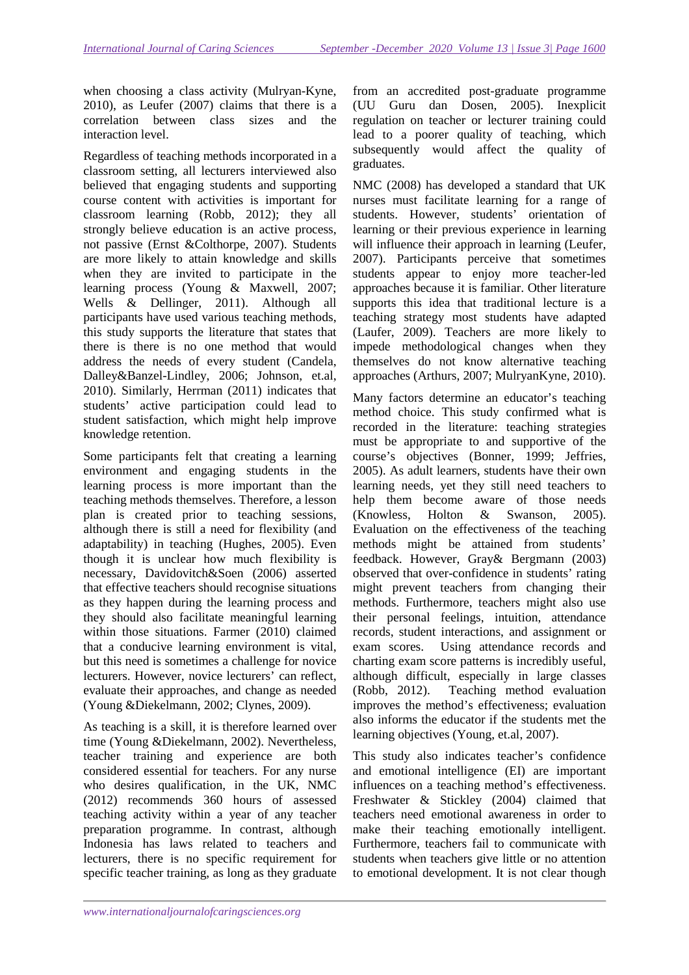when choosing a class activity (Mulryan-Kyne, 2010), as Leufer (2007) claims that there is a correlation between class sizes and the interaction level.

Regardless of teaching methods incorporated in a classroom setting, all lecturers interviewed also believed that engaging students and supporting course content with activities is important for classroom learning (Robb, 2012); they all strongly believe education is an active process, not passive (Ernst &Colthorpe, 2007). Students are more likely to attain knowledge and skills when they are invited to participate in the learning process (Young & Maxwell, 2007; Wells & Dellinger, 2011). Although all participants have used various teaching methods, this study supports the literature that states that there is there is no one method that would address the needs of every student (Candela, Dalley&Banzel-Lindley, 2006; Johnson, et.al, 2010). Similarly, Herrman (2011) indicates that students' active participation could lead to student satisfaction, which might help improve knowledge retention.

Some participants felt that creating a learning environment and engaging students in the learning process is more important than the teaching methods themselves. Therefore, a lesson plan is created prior to teaching sessions, although there is still a need for flexibility (and adaptability) in teaching (Hughes, 2005). Even though it is unclear how much flexibility is necessary, Davidovitch&Soen (2006) asserted that effective teachers should recognise situations as they happen during the learning process and they should also facilitate meaningful learning within those situations. Farmer (2010) claimed that a conducive learning environment is vital, but this need is sometimes a challenge for novice lecturers. However, novice lecturers' can reflect, evaluate their approaches, and change as needed (Young &Diekelmann, 2002; Clynes, 2009).

As teaching is a skill, it is therefore learned over time (Young &Diekelmann, 2002). Nevertheless, teacher training and experience are both considered essential for teachers. For any nurse who desires qualification, in the UK, NMC (2012) recommends 360 hours of assessed teaching activity within a year of any teacher preparation programme. In contrast, although Indonesia has laws related to teachers and lecturers, there is no specific requirement for specific teacher training, as long as they graduate

from an accredited post-graduate programme (UU Guru dan Dosen, 2005). Inexplicit regulation on teacher or lecturer training could lead to a poorer quality of teaching, which subsequently would affect the quality of graduates.

NMC (2008) has developed a standard that UK nurses must facilitate learning for a range of students. However, students' orientation of learning or their previous experience in learning will influence their approach in learning (Leufer, 2007). Participants perceive that sometimes students appear to enjoy more teacher-led approaches because it is familiar. Other literature supports this idea that traditional lecture is a teaching strategy most students have adapted (Laufer, 2009). Teachers are more likely to impede methodological changes when they themselves do not know alternative teaching approaches (Arthurs, 2007; MulryanKyne, 2010).

Many factors determine an educator's teaching method choice. This study confirmed what is recorded in the literature: teaching strategies must be appropriate to and supportive of the course's objectives (Bonner, 1999; Jeffries, 2005). As adult learners, students have their own learning needs, yet they still need teachers to help them become aware of those needs (Knowless, Holton & Swanson, 2005). Evaluation on the effectiveness of the teaching methods might be attained from students' feedback. However, Gray& Bergmann (2003) observed that over-confidence in students' rating might prevent teachers from changing their methods. Furthermore, teachers might also use their personal feelings, intuition, attendance records, student interactions, and assignment or exam scores. Using attendance records and charting exam score patterns is incredibly useful, although difficult, especially in large classes (Robb, 2012). Teaching method evaluation improves the method's effectiveness; evaluation also informs the educator if the students met the learning objectives (Young, et.al, 2007).

This study also indicates teacher's confidence and emotional intelligence (EI) are important influences on a teaching method's effectiveness. Freshwater & Stickley (2004) claimed that teachers need emotional awareness in order to make their teaching emotionally intelligent. Furthermore, teachers fail to communicate with students when teachers give little or no attention to emotional development. It is not clear though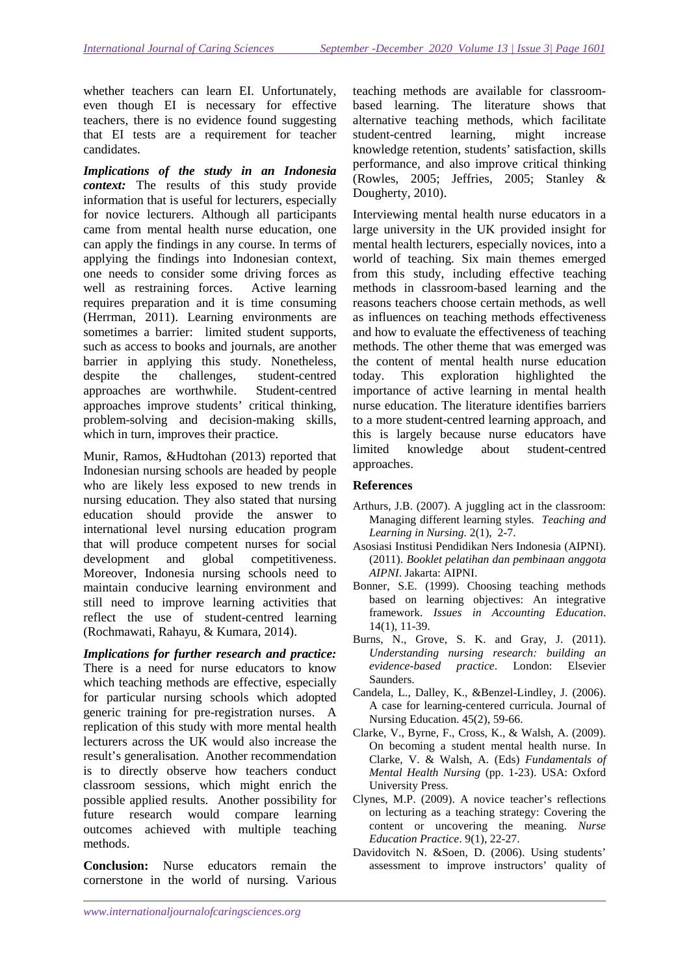whether teachers can learn EI. Unfortunately, even though EI is necessary for effective teachers, there is no evidence found suggesting that EI tests are a requirement for teacher candidates.

*Implications of the study in an Indonesia context:* The results of this study provide information that is useful for lecturers, especially for novice lecturers. Although all participants came from mental health nurse education, one can apply the findings in any course. In terms of applying the findings into Indonesian context, one needs to consider some driving forces as well as restraining forces. Active learning requires preparation and it is time consuming (Herrman, 2011). Learning environments are sometimes a barrier: limited student supports, such as access to books and journals, are another barrier in applying this study. Nonetheless, despite the challenges, student-centred approaches are worthwhile. Student-centred approaches improve students' critical thinking, problem-solving and decision-making skills, which in turn, improves their practice.

Munir, Ramos, &Hudtohan (2013) reported that Indonesian nursing schools are headed by people who are likely less exposed to new trends in nursing education. They also stated that nursing education should provide the answer to international level nursing education program that will produce competent nurses for social development and global competitiveness. Moreover, Indonesia nursing schools need to maintain conducive learning environment and still need to improve learning activities that reflect the use of student-centred learning (Rochmawati, Rahayu, & Kumara, 2014).

*Implications for further research and practice:*  There is a need for nurse educators to know which teaching methods are effective, especially for particular nursing schools which adopted generic training for pre-registration nurses. A replication of this study with more mental health lecturers across the UK would also increase the result's generalisation. Another recommendation is to directly observe how teachers conduct classroom sessions, which might enrich the possible applied results. Another possibility for future research would compare learning outcomes achieved with multiple teaching methods.

**Conclusion:** Nurse educators remain the cornerstone in the world of nursing. Various

teaching methods are available for classroombased learning. The literature shows that alternative teaching methods, which facilitate student-centred learning, might increase knowledge retention, students' satisfaction, skills performance, and also improve critical thinking (Rowles, 2005; Jeffries, 2005; Stanley & Dougherty, 2010).

Interviewing mental health nurse educators in a large university in the UK provided insight for mental health lecturers, especially novices, into a world of teaching. Six main themes emerged from this study, including effective teaching methods in classroom-based learning and the reasons teachers choose certain methods, as well as influences on teaching methods effectiveness and how to evaluate the effectiveness of teaching methods. The other theme that was emerged was the content of mental health nurse education today. This exploration highlighted the importance of active learning in mental health nurse education. The literature identifies barriers to a more student-centred learning approach, and this is largely because nurse educators have limited knowledge about student-centred approaches.

#### **References**

- Arthurs, J.B. (2007). A juggling act in the classroom: Managing different learning styles. *Teaching and Learning in Nursing.* 2(1), 2-7.
- Asosiasi Institusi Pendidikan Ners Indonesia (AIPNI). (2011). *Booklet pelatihan dan pembinaan anggota AIPNI*. Jakarta: AIPNI.
- Bonner, S.E. (1999). Choosing teaching methods based on learning objectives: An integrative framework. *Issues in Accounting Education*. 14(1), 11-39.
- Burns, N., Grove, S. K. and Gray, J. (2011). *Understanding nursing research: building an evidence-based practice*. London: Elsevier Saunders.
- Candela, L., Dalley, K., &Benzel-Lindley, J. (2006). A case for learning-centered curricula. Journal of Nursing Education. 45(2), 59-66.
- Clarke, V., Byrne, F., Cross, K., & Walsh, A. (2009). On becoming a student mental health nurse. In Clarke, V. & Walsh, A. (Eds) *Fundamentals of Mental Health Nursing* (pp. 1-23). USA: Oxford University Press.
- Clynes, M.P. (2009). A novice teacher's reflections on lecturing as a teaching strategy: Covering the content or uncovering the meaning. *Nurse Education Practice*. 9(1), 22-27.
- Davidovitch N. &Soen, D. (2006). Using students' assessment to improve instructors' quality of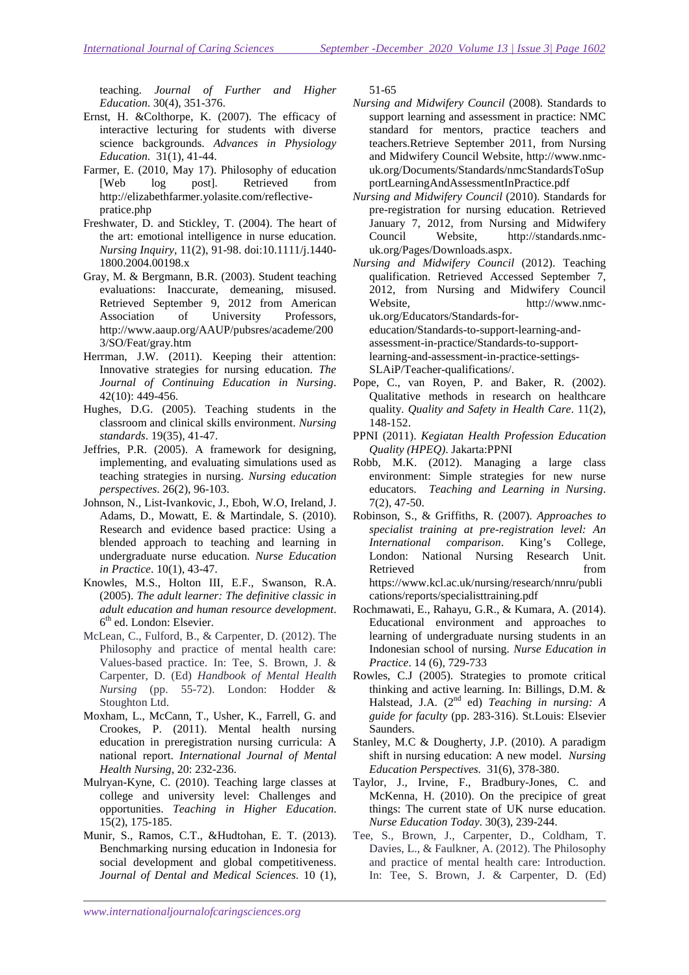teaching. *Journal of Further and Higher Education*. 30(4), 351-376.

- Ernst, H. &Colthorpe, K. (2007). The efficacy of interactive lecturing for students with diverse science backgrounds. *Advances in Physiology Education*. 31(1), 41-44.
- Farmer, E. (2010, May 17). Philosophy of education [Web log post]. Retrieved from http://elizabethfarmer.yolasite.com/reflectivepratice.php
- Freshwater, D. and Stickley, T. (2004). The heart of the art: emotional intelligence in nurse education. *Nursing Inquiry*, 11(2), 91-98. doi:10.1111/j.1440- 1800.2004.00198.x
- Gray, M. & Bergmann, B.R. (2003). Student teaching evaluations: Inaccurate, demeaning, misused. Retrieved September 9, 2012 from American Association of University Professors, http://www.aaup.org/AAUP/pubsres/academe/200 3/SO/Feat/gray.htm
- Herrman, J.W. (2011). Keeping their attention: Innovative strategies for nursing education. *The Journal of Continuing Education in Nursing*. 42(10): 449-456.
- Hughes, D.G. (2005). Teaching students in the classroom and clinical skills environment. *Nursing standards*. 19(35), 41-47.
- Jeffries, P.R. (2005). A framework for designing, implementing, and evaluating simulations used as teaching strategies in nursing. *Nursing education perspectives*. 26(2), 96-103.
- Johnson, N., List-Ivankovic, J., Eboh, W.O, Ireland, J. Adams, D., Mowatt, E. & Martindale, S. (2010). Research and evidence based practice: Using a blended approach to teaching and learning in undergraduate nurse education. *Nurse Education in Practice*. 10(1), 43-47.
- Knowles, M.S., Holton III, E.F., Swanson, R.A. (2005). *The adult learner: The definitive classic in adult education and human resource development*. 6<sup>th</sup> ed. London: Elsevier.
- McLean, C., Fulford, B., & Carpenter, D. (2012). The Philosophy and practice of mental health care: Values-based practice. In: Tee, S. Brown, J. & Carpenter, D. (Ed) *Handbook of Mental Health Nursing* (pp. 55-72). London: Hodder & Stoughton Ltd.
- Moxham, L., McCann, T., Usher, K., Farrell, G. and Crookes, P. (2011). Mental health nursing education in preregistration nursing curricula: A national report. *International Journal of Mental Health Nursing*, 20: 232-236.
- Mulryan-Kyne, C. (2010). Teaching large classes at college and university level: Challenges and opportunities. *Teaching in Higher Education*. 15(2), 175-185.
- Munir, S., Ramos, C.T., &Hudtohan, E. T. (2013). Benchmarking nursing education in Indonesia for social development and global competitiveness. *Journal of Dental and Medical Sciences*. 10 (1),

51-65

- *Nursing and Midwifery Council* (2008). Standards to support learning and assessment in practice: NMC standard for mentors, practice teachers and teachers.Retrieve September 2011, from Nursing and Midwifery Council Website, http://www.nmcuk.org/Documents/Standards/nmcStandardsToSup portLearningAndAssessmentInPractice.pdf
- *Nursing and Midwifery Council* (2010). Standards for pre-registration for nursing education. Retrieved January 7, 2012, from Nursing and Midwifery Council Website, http://standards.nmcuk.org/Pages/Downloads.aspx.
- *Nursing and Midwifery Council* (2012). Teaching qualification. Retrieved Accessed September 7, 2012, from Nursing and Midwifery Council Website. http://www.nmcuk.org/Educators/Standards-foreducation/Standards-to-support-learning-andassessment-in-practice/Standards-to-support-

learning-and-assessment-in-practice-settings-SLAiP/Teacher-qualifications/.

- Pope, C., van Royen, P. and Baker, R. (2002). Qualitative methods in research on healthcare quality. *Quality and Safety in Health Care*. 11(2), 148-152.
- PPNI (2011). *Kegiatan Health Profession Education Quality (HPEQ)*. Jakarta:PPNI
- Robb, M.K. (2012). Managing a large class environment: Simple strategies for new nurse educators. *Teaching and Learning in Nursing*. 7(2), 47-50.
- Robinson, S., & Griffiths, R. (2007). *Approaches to specialist training at pre-registration level: An International comparison*. King's College, London: National Nursing Research Unit. Retrieved from  $\sim$ https://www.kcl.ac.uk/nursing/research/nnru/publi cations/reports/specialisttraining.pdf
- Rochmawati, E., Rahayu, G.R., & Kumara, A. (2014). Educational environment and approaches to learning of undergraduate nursing students in an Indonesian school of nursing. *Nurse Education in Practice*. 14 (6), 729-733
- Rowles, C.J (2005). Strategies to promote critical thinking and active learning. In: Billings, D.M. & Halstead, J.A. (2nd ed) *Teaching in nursing: A guide for faculty* (pp. 283-316). St.Louis: Elsevier Saunders.
- Stanley, M.C & Dougherty, J.P. (2010). A paradigm shift in nursing education: A new model. *Nursing Education Perspectives.* 31(6), 378-380.
- Taylor, J., Irvine, F., Bradbury-Jones, C. and McKenna, H. (2010). On the precipice of great things: The current state of UK nurse education. *Nurse Education Today*. 30(3), 239-244.
- Tee, S., Brown, J., Carpenter, D., Coldham, T. Davies, L., & Faulkner, A. (2012). The Philosophy and practice of mental health care: Introduction. In: Tee, S. Brown, J. & Carpenter, D. (Ed)